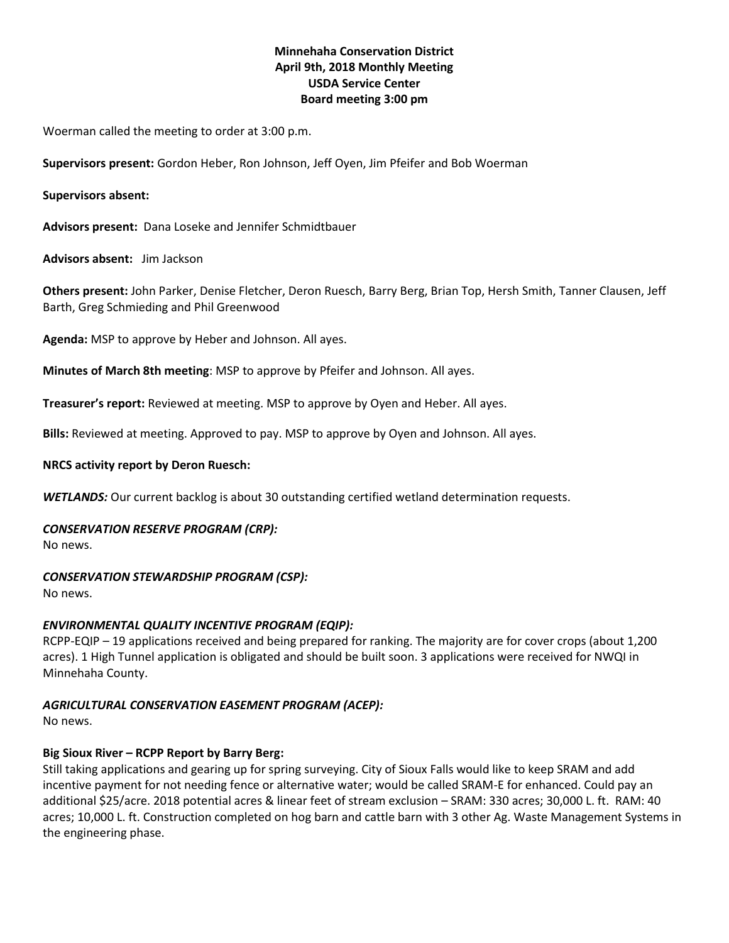# **Minnehaha Conservation District April 9th, 2018 Monthly Meeting USDA Service Center Board meeting 3:00 pm**

Woerman called the meeting to order at 3:00 p.m.

**Supervisors present:** Gordon Heber, Ron Johnson, Jeff Oyen, Jim Pfeifer and Bob Woerman

# **Supervisors absent:**

**Advisors present:** Dana Loseke and Jennifer Schmidtbauer

**Advisors absent:** Jim Jackson

**Others present:** John Parker, Denise Fletcher, Deron Ruesch, Barry Berg, Brian Top, Hersh Smith, Tanner Clausen, Jeff Barth, Greg Schmieding and Phil Greenwood

**Agenda:** MSP to approve by Heber and Johnson. All ayes.

**Minutes of March 8th meeting**: MSP to approve by Pfeifer and Johnson. All ayes.

**Treasurer's report:** Reviewed at meeting. MSP to approve by Oyen and Heber. All ayes.

**Bills:** Reviewed at meeting. Approved to pay. MSP to approve by Oyen and Johnson. All ayes.

### **NRCS activity report by Deron Ruesch:**

*WETLANDS:* Our current backlog is about 30 outstanding certified wetland determination requests.

# *CONSERVATION RESERVE PROGRAM (CRP):*

No news.

# *CONSERVATION STEWARDSHIP PROGRAM (CSP):*

No news.

# *ENVIRONMENTAL QUALITY INCENTIVE PROGRAM (EQIP):*

RCPP-EQIP – 19 applications received and being prepared for ranking. The majority are for cover crops (about 1,200 acres). 1 High Tunnel application is obligated and should be built soon. 3 applications were received for NWQI in Minnehaha County.

# *AGRICULTURAL CONSERVATION EASEMENT PROGRAM (ACEP):*

No news.

# **Big Sioux River – RCPP Report by Barry Berg:**

Still taking applications and gearing up for spring surveying. City of Sioux Falls would like to keep SRAM and add incentive payment for not needing fence or alternative water; would be called SRAM-E for enhanced. Could pay an additional \$25/acre. 2018 potential acres & linear feet of stream exclusion – SRAM: 330 acres; 30,000 L. ft. RAM: 40 acres; 10,000 L. ft. Construction completed on hog barn and cattle barn with 3 other Ag. Waste Management Systems in the engineering phase.